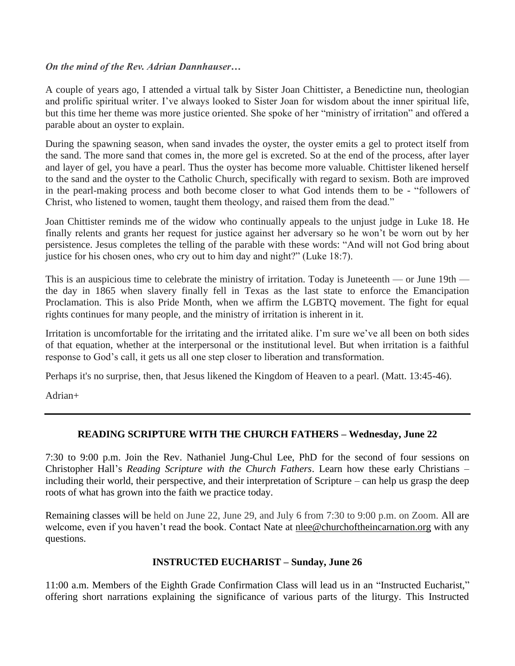### *On the mind of the Rev. Adrian Dannhauser…*

A couple of years ago, I attended a virtual talk by Sister Joan Chittister, a Benedictine nun, theologian and prolific spiritual writer. I've always looked to Sister Joan for wisdom about the inner spiritual life, but this time her theme was more justice oriented. She spoke of her "ministry of irritation" and offered a parable about an oyster to explain.

During the spawning season, when sand invades the oyster, the oyster emits a gel to protect itself from the sand. The more sand that comes in, the more gel is excreted. So at the end of the process, after layer and layer of gel, you have a pearl. Thus the oyster has become more valuable. Chittister likened herself to the sand and the oyster to the Catholic Church, specifically with regard to sexism. Both are improved in the pearl-making process and both become closer to what God intends them to be - "followers of Christ, who listened to women, taught them theology, and raised them from the dead."

Joan Chittister reminds me of the widow who continually appeals to the unjust judge in Luke 18. He finally relents and grants her request for justice against her adversary so he won't be worn out by her persistence. Jesus completes the telling of the parable with these words: "And will not God bring about justice for his chosen ones, who cry out to him day and night?" (Luke 18:7).

This is an auspicious time to celebrate the ministry of irritation. Today is Juneteenth — or June 19th the day in 1865 when slavery finally fell in Texas as the last state to enforce the Emancipation Proclamation. This is also Pride Month, when we affirm the LGBTQ movement. The fight for equal rights continues for many people, and the ministry of irritation is inherent in it.

Irritation is uncomfortable for the irritating and the irritated alike. I'm sure we've all been on both sides of that equation, whether at the interpersonal or the institutional level. But when irritation is a faithful response to God's call, it gets us all one step closer to liberation and transformation.

Perhaps it's no surprise, then, that Jesus likened the Kingdom of Heaven to a pearl. (Matt. 13:45-46).

Adrian+

# **READING SCRIPTURE WITH THE CHURCH FATHERS – Wednesday, June 22**

7:30 to 9:00 p.m. Join the Rev. Nathaniel Jung-Chul Lee, PhD for the second of four sessions on Christopher Hall's *Reading Scripture with the Church Fathers*. Learn how these early Christians – including their world, their perspective, and their interpretation of Scripture – can help us grasp the deep roots of what has grown into the faith we practice today.

Remaining classes will be held on June 22, June 29, and July 6 from 7:30 to 9:00 p.m. on Zoom. All are welcome, even if you haven't read the book. Contact Nate at [nlee@churchoftheincarnation.org](mailto:nlee@churchoftheincarnation.org) with any questions.

# **INSTRUCTED EUCHARIST – Sunday, June 26**

11:00 a.m. Members of the Eighth Grade Confirmation Class will lead us in an "Instructed Eucharist," offering short narrations explaining the significance of various parts of the liturgy. This Instructed